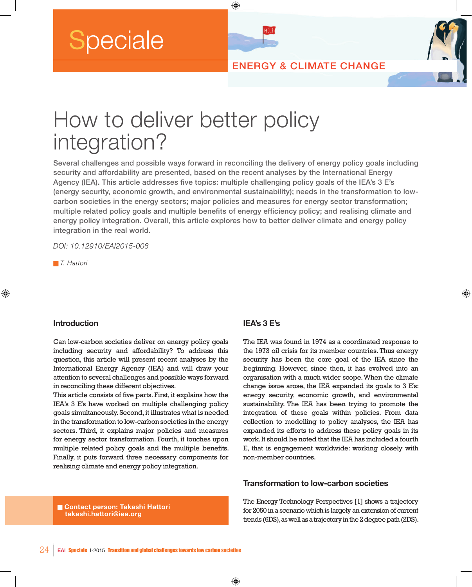**Speciale** 

ENERGY & CLIMATE CHANGE

# How to deliver better policy integration?

Several challenges and possible ways forward in reconciling the delivery of energy policy goals including security and affordability are presented, based on the recent analyses by the International Energy Agency (IEA). This article addresses five topics: multiple challenging policy goals of the IEA's 3 E's (energy security, economic growth, and environmental sustainability); needs in the transformation to lowcarbon societies in the energy sectors; major policies and measures for energy sector transformation; multiple related policy goals and multiple benefits of energy efficiency policy; and realising climate and energy policy integration. Overall, this article explores how to better deliver climate and energy policy integration in the real world.

⊕

**HELP** 

*DOI: 10.12910/EAI2015-006*

n *T. Hattori*

⊕

#### **Introduction**

Can low-carbon societies deliver on energy policy goals including security and affordability? To address this question, this article will present recent analyses by the International Energy Agency (IEA) and will draw your attention to several challenges and possible ways forward in reconciling these different objectives.

This article consists of five parts. First, it explains how the IEA's 3 E's have worked on multiple challenging policy goals simultaneously. Second, it illustrates what is needed in the transformation to low-carbon societies in the energy sectors. Third, it explains major policies and measures for energy sector transformation. Fourth, it touches upon multiple related policy goals and the multiple benefits. Finally, it puts forward three necessary components for realising climate and energy policy integration.

**n** Contact person: Takashi Hattori  **takashi.hattori@iea.org** 

#### **IEA's 3 E's**

The IEA was found in 1974 as a coordinated response to the 1973 oil crisis for its member countries. Thus energy security has been the core goal of the IEA since the beginning. However, since then, it has evolved into an organisation with a much wider scope. When the climate change issue arose, the IEA expanded its goals to 3 E's: energy security, economic growth, and environmental sustainability. The IEA has been trying to promote the integration of these goals within policies. From data collection to modelling to policy analyses, the IEA has expanded its efforts to address these policy goals in its work. It should be noted that the IEA has included a fourth E, that is engagement worldwide: working closely with non-member countries.

⊕

### **Transformation to low-carbon societies**

The Energy Technology Perspectives [1] shows a trajectory for 2050 in a scenario which is largely an extension of current trends (6DS), as well as a trajectory in the 2 degree path (2DS).

◈